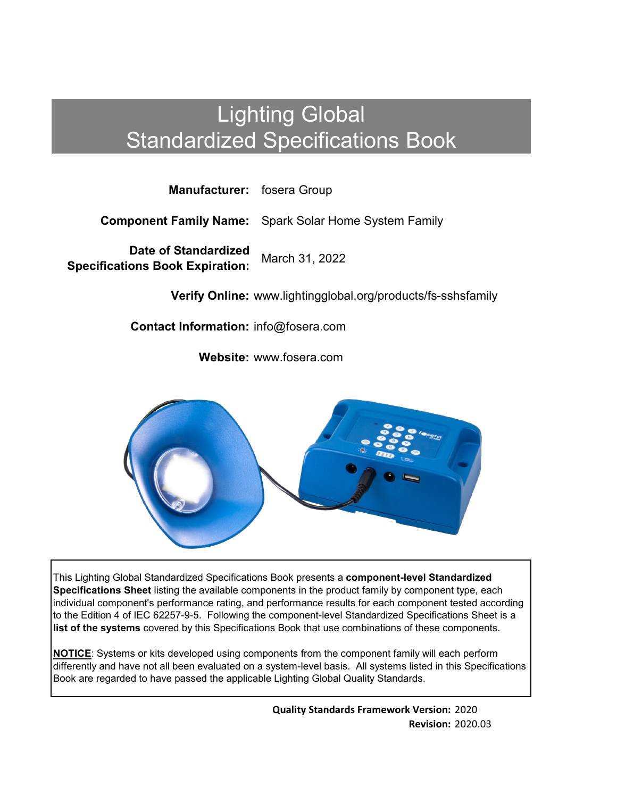# Lighting Global Standardized Specifications Book

**Manufacturer:** fosera Group

**Component Family Name:** Spark Solar Home System Family

**Date of Standardized Specifications Book Expiration:** March 31, 2022

**Verify Online:** www.lightingglobal.org/products/fs-sshsfamily

**Contact Information:** info@fosera.com

**Website:** www.fosera.com



This Lighting Global Standardized Specifications Book presents a **component-level Standardized Specifications Sheet** listing the available components in the product family by component type, each individual component's performance rating, and performance results for each component tested according to the Edition 4 of IEC 62257-9-5. Following the component-level Standardized Specifications Sheet is a **list of the systems** covered by this Specifications Book that use combinations of these components.

**NOTICE**: Systems or kits developed using components from the component family will each perform differently and have not all been evaluated on a system-level basis. All systems listed in this Specifications Book are regarded to have passed the applicable Lighting Global Quality Standards.

> **Quality Standards Framework Version:** 2020 **Revision:** 2020.03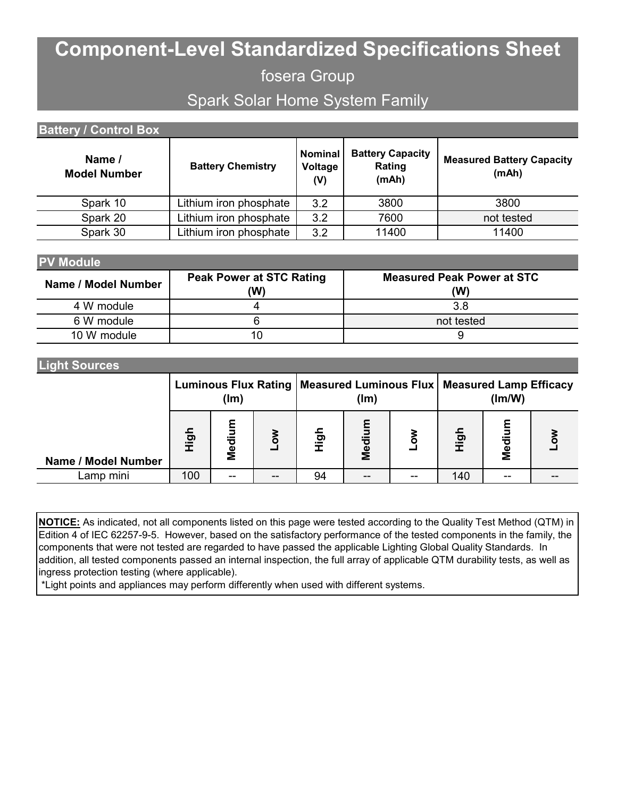# **Component-Level Standardized Specifications Sheet**

fosera Group

Spark Solar Home System Family

| <b>Battery / Control Box</b>  |                          |                           |                                            |                                           |  |  |  |
|-------------------------------|--------------------------|---------------------------|--------------------------------------------|-------------------------------------------|--|--|--|
| Name /<br><b>Model Number</b> | <b>Battery Chemistry</b> | Nominal<br>Voltage<br>(V) | <b>Battery Capacity</b><br>Rating<br>(mAh) | <b>Measured Battery Capacity</b><br>(mAh) |  |  |  |
| Spark 10                      | Lithium iron phosphate   | 3.2                       | 3800                                       | 3800                                      |  |  |  |
| Spark 20                      | Lithium iron phosphate   | 3.2                       | 7600                                       | not tested                                |  |  |  |
| Spark 30                      | Lithium iron phosphate   | 3.2                       | 11400                                      | 11400                                     |  |  |  |

### **PV Module**

| Name / Model Number | <b>Peak Power at STC Rating</b><br>(W) | <b>Measured Peak Power at STC</b><br>(W) |
|---------------------|----------------------------------------|------------------------------------------|
| 4 W module          |                                        | 3.8                                      |
| 6 W module          |                                        | not tested                               |
| 10 W module         | 10                                     |                                          |

#### **Light Sources**

|                     | (lm)                |            | Luminous Flux Rating   Measured Luminous Flux   Measured Lamp Efficacy<br>(lm) |      |        | (Im/W) |      |        |   |
|---------------------|---------------------|------------|--------------------------------------------------------------------------------|------|--------|--------|------|--------|---|
| Name / Model Number | $\overline{5}$<br>≔ | ε<br>Mediu |                                                                                | High | Medium |        | High | Medium | ō |
| Lamp mini           | 100                 | --         |                                                                                | 94   |        | --     | 140  | --     |   |

**NOTICE:** As indicated, not all components listed on this page were tested according to the Quality Test Method (QTM) in Edition 4 of IEC 62257-9-5. However, based on the satisfactory performance of the tested components in the family, the components that were not tested are regarded to have passed the applicable Lighting Global Quality Standards. In addition, all tested components passed an internal inspection, the full array of applicable QTM durability tests, as well as ingress protection testing (where applicable).

\*Light points and appliances may perform differently when used with different systems.